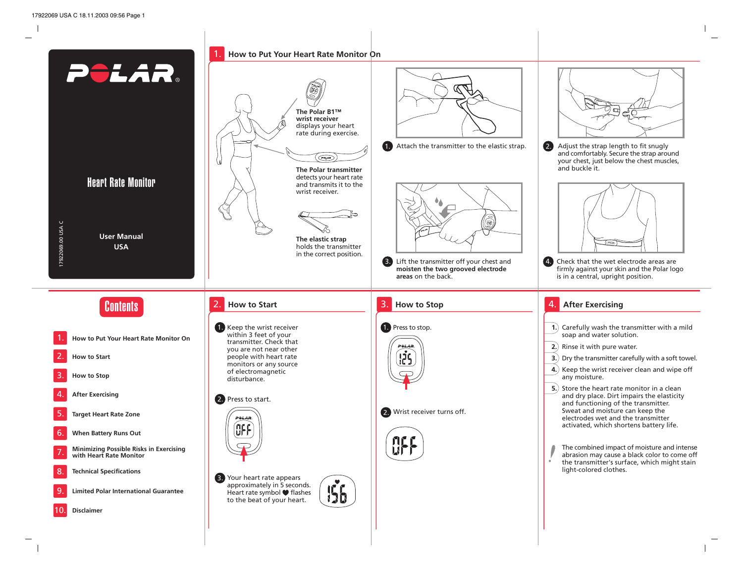